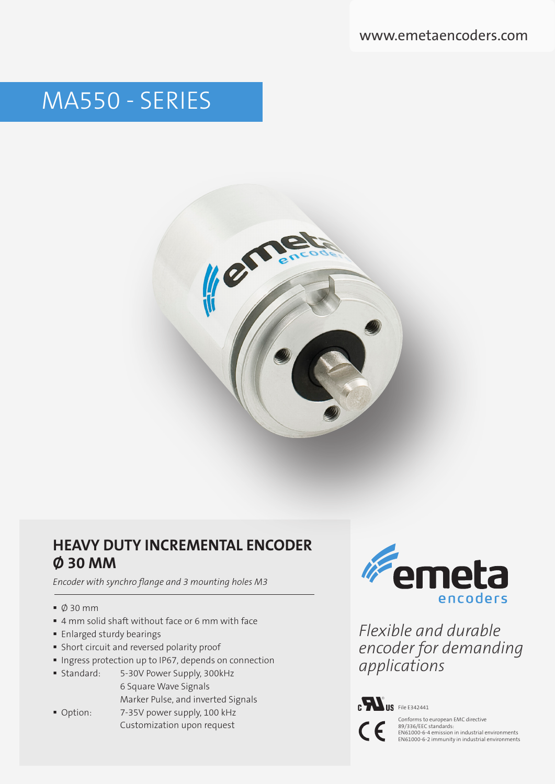www.emetaencoders.com

# MA550 - SERIES



### **HEAVY DUTY INCREMENTAL ENCODER Ø 30 MM**

*Encoder with synchro flange and 3 mounting holes M3*

- Ø 30 mm
- 4 mm solid shaft without face or 6 mm with face
- **Enlarged sturdy bearings**
- Short circuit and reversed polarity proof
- **Ingress protection up to IP67, depends on connection**
- Standard: 5-30V Power Supply, 300kHz 6 Square Wave Signals Marker Pulse, and inverted Signals
- Option: 7-35V power supply, 100 kHz



*Flexible and durable encoder for demanding applications*



Customization upon request<br>
Customization upon request<br>
Customization upon request<br>
Customization in industrial e 89/336/EEC standards: EN61000-6-4 emission in industrial environments EN61000-6-2 immunity in industrial environments